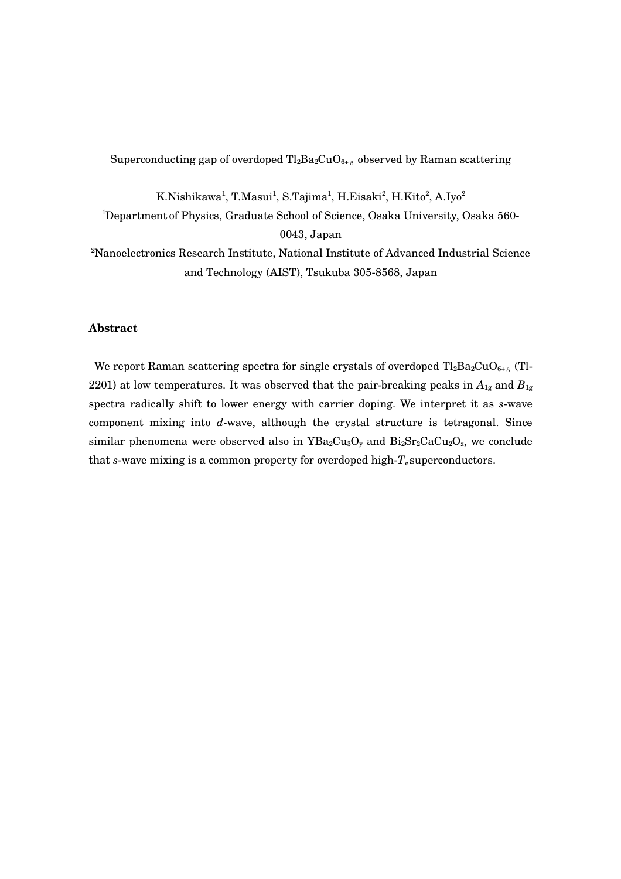Superconducting gap of overdoped  $Tl_2Ba_2CuO_{6+\delta}$  observed by Raman scattering

K.Nishikawa $^1$ , T.Masui $^1$ , S.Tajima $^1$ , H.Eisaki $^2$ , H.Kito $^2$ , A.Iyo $^2$ 

<sup>1</sup>Department of Physics, Graduate School of Science, Osaka University, Osaka 560-0043, Japan

<sup>2</sup>Nanoelectronics Research Institute, National Institute of Advanced Industrial Science and Technology (AIST), Tsukuba 305-8568, Japan

# **Abstract**

We report Raman scattering spectra for single crystals of overdoped  $Tl_2Ba_2CuO_{6+\delta}$  (Tl-2201) at low temperatures. It was observed that the pair-breaking peaks in  $A_{1g}$  and  $B_{1g}$ spectra radically shift to lower energy with carrier doping. We interpret it as *s*-wave component mixing into  $d$ -wave, although the crystal structure is tetragonal. Since similar phenomena were observed also in  $YBa_2Cu_3O_y$  and  $Bi_2Sr_2CaCu_2O_z$ , we conclude that  $s$ -wave mixing is a common property for overdoped high- $T_c$  superconductors.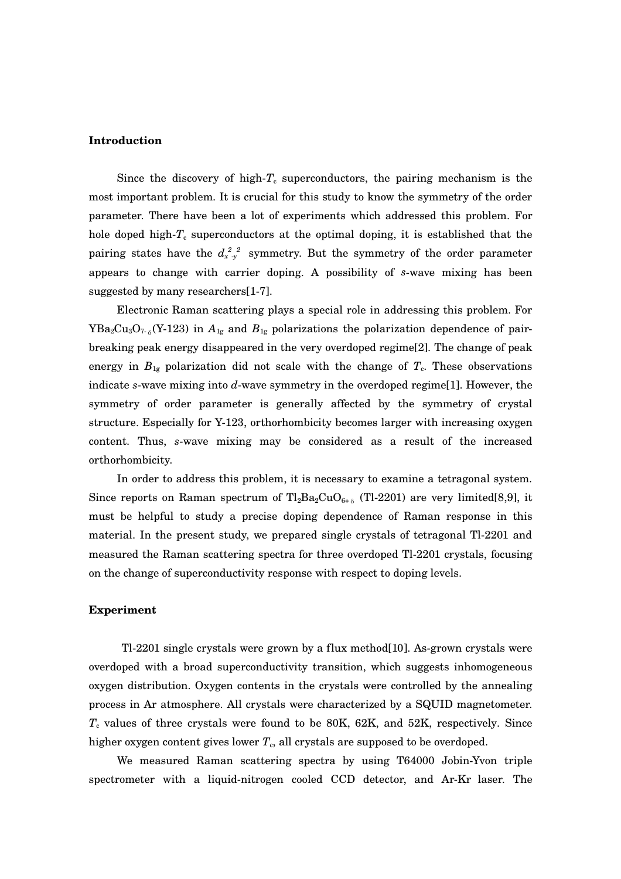### **Introduction**

Since the discovery of high- $T_c$  superconductors, the pairing mechanism is the most important problem. It is crucial for this study to know the symmetry of the order parameter. There have been a lot of experiments which addressed this problem. For hole doped high- $T_c$  superconductors at the optimal doping, it is established that the pairing states have the  $d_{x,y}^{2,2}$  symmetry. But the symmetry of the order parameter appears to change with carrier doping. A possibility of *s*-wave mixing has been suggested by many researchers[1-7].

Electronic Raman scattering plays a special role in addressing this problem. For  $YBa_2Cu_3O_{7-\delta}(Y-123)$  in  $A_{1g}$  and  $B_{1g}$  polarizations the polarization dependence of pairbreaking peak energy disappeared in the very overdoped regime[2]. The change of peak energy in  $B_{1g}$  polarization did not scale with the change of  $T_c$ . These observations indicate  $s$ -wave mixing into  $d$ -wave symmetry in the overdoped regime<sup>[1]</sup>. However, the symmetry of order parameter is generally affected by the symmetry of crystal structure. Especially for Y-123, orthorhombicity becomes larger with increasing oxygen content. Thus, *s*wave mixing may be considered as a result of the increased orthorhombicity.

In order to address this problem, it is necessary to examine a tetragonal system. Since reports on Raman spectrum of  $Tl_2Ba_2CuO_{6+\delta}$  (Tl-2201) are very limited[8,9], it must be helpful to study a precise doping dependence of Raman response in this material. In the present study, we prepared single crystals of tetragonal Tl-2201 and measured the Raman scattering spectra for three overdoped Tl-2201 crystals, focusing on the change of superconductivity response with respect to doping levels.

### **Experiment**

 $T1-2201$  single crystals were grown by a flux method $[10]$ . As-grown crystals were overdoped with a broad superconductivity transition, which suggests inhomogeneous oxygen distribution. Oxygen contents in the crystals were controlled by the annealing process in Ar atmosphere. All crystals were characterized by a SQUID magnetometer. *T*<sup>c</sup> values of three crystals were found to be 80K, 62K, and 52K, respectively. Since higher oxygen content gives lower  $T_c$ , all crystals are supposed to be overdoped.

We measured Raman scattering spectra by using T64000 JobinYvon triple spectrometer with a liquid-nitrogen cooled CCD detector, and Ar-Kr laser. The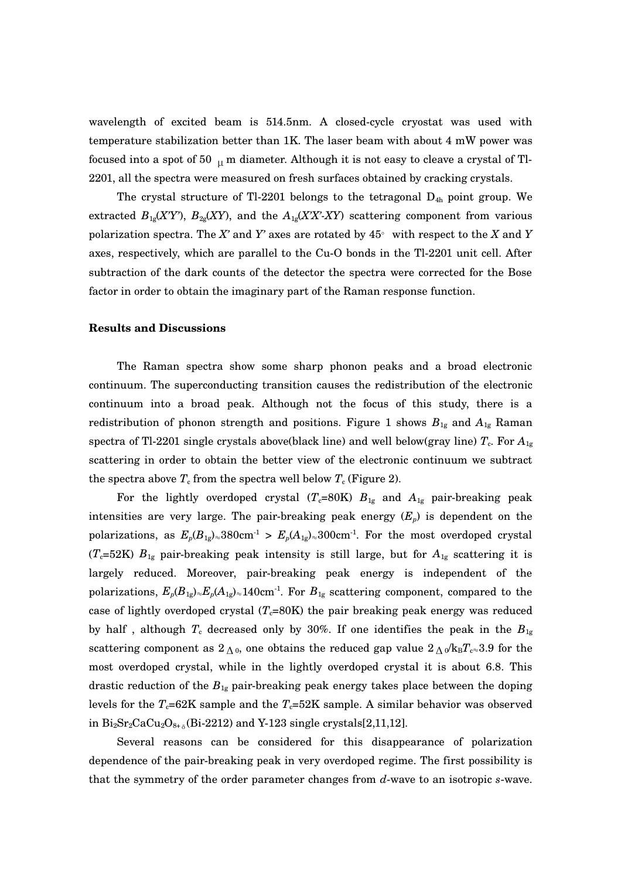wavelength of excited beam is 514.5nm. A closed-cycle cryostat was used with temperature stabilization better than 1K. The laser beam with about 4 mW power was focused into a spot of 50  $_{\text{H}}$  m diameter. Although it is not easy to cleave a crystal of Tl-2201, all the spectra were measured on fresh surfaces obtained by cracking crystals.

The crystal structure of Tl-2201 belongs to the tetragonal  $D_{4h}$  point group. We extracted  $B_{1g}(XY)$ ,  $B_{2g}(XY)$ , and the  $A_{1g}(XX'X)$  scattering component from various polarization spectra. The X' and Y' axes are rotated by  $45^{\circ}$  with respect to the X and Y axes, respectively, which are parallel to the Cu-O bonds in the Tl-2201 unit cell. After subtraction of the dark counts of the detector the spectra were corrected for the Bose factor in order to obtain the imaginary part of the Raman response function.

## **Results and Discussions**

The Raman spectra show some sharp phonon peaks and a broad electronic continuum. The superconducting transition causes the redistribution of the electronic continuum into a broad peak. Although not the focus of this study, there is a redistribution of phonon strength and positions. Figure 1 shows *B*1g and *A*1g Raman spectra of Tl-2201 single crystals above(black line) and well below(gray line)  $T_c$ . For  $A_{1g}$ scattering in order to obtain the better view of the electronic continuum we subtract the spectra above  $T_c$  from the spectra well below  $T_c$  (Figure 2).

For the lightly overdoped crystal  $(T_c=80K)$   $B_{1g}$  and  $A_{1g}$  pair-breaking peak intensities are very large. The pair-breaking peak energy  $(E_p)$  is dependent on the polarizations, as  $E_p(B_{1g})_{\approx}380$ cm<sup>-1</sup> >  $E_p(A_{1g})_{\approx}300$ cm<sup>-1</sup>. For the most overdoped crystal ( $T_c$ =52K)  $B_{1g}$  pair-breaking peak intensity is still large, but for  $A_{1g}$  scattering it is largely reduced. Moreover, pair-breaking peak energy is independent of the polarizations,  $E_p(B_{1g})_\approx E_p(A_{1g})_\approx 140$  cm<sup>-1</sup>. For  $B_{1g}$  scattering component, compared to the case of lightly overdoped crystal  $(T_c=80K)$  the pair breaking peak energy was reduced by half, although  $T_c$  decreased only by 30%. If one identifies the peak in the  $B_{1g}$ scattering component as  $2\Lambda_0$ , one obtains the reduced gap value  $2\Lambda_0/k_BT_{\text{c}}\approx 3.9$  for the most overdoped crystal, while in the lightly overdoped crystal it is about 6.8. This drastic reduction of the  $B_{1g}$  pair-breaking peak energy takes place between the doping levels for the  $T_c=62K$  sample and the  $T_c=52K$  sample. A similar behavior was observed in  $Bi_2Sr_2CaCu_2O_{8+\delta}$ (Bi-2212) and Y-123 single crystals[2,11,12].

Several reasons can be considered for this disappearance of polarization dependence of the pair-breaking peak in very overdoped regime. The first possibility is that the symmetry of the order parameter changes from d-wave to an isotropic *s*-wave.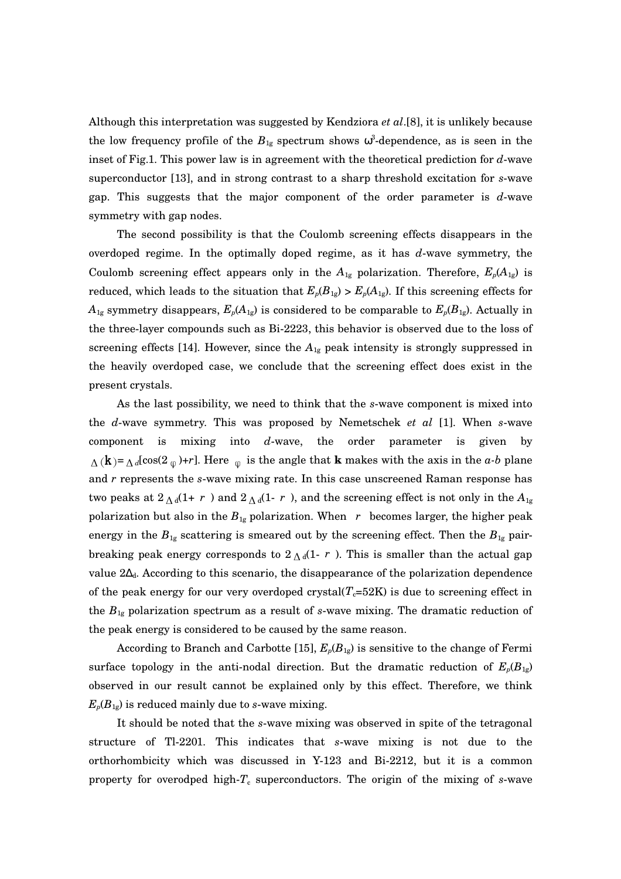Although this interpretation was suggested by Kendziora *et al*.[8], it is unlikely because the low frequency profile of the  $B_{1g}$  spectrum shows  $\omega^3$ -dependence, as is seen in the inset of Fig.1. This power law is in agreement with the theoretical prediction for d-wave superconductor [13], and in strong contrast to a sharp threshold excitation for *s*-wave gap. This suggests that the major component of the order parameter is  $d$ -wave symmetry with gap nodes.

The second possibility is that the Coulomb screening effects disappears in the overdoped regime. In the optimally doped regime, as it has  $d$ -wave symmetry, the Coulomb screening effect appears only in the  $A_{1g}$  polarization. Therefore,  $E_p(A_{1g})$  is reduced, which leads to the situation that  $E_p(B_{1g}) > E_p(A_{1g})$ . If this screening effects for  $A_{1g}$  symmetry disappears,  $E_p(A_{1g})$  is considered to be comparable to  $E_p(B_{1g})$ . Actually in the threelayer compounds such as Bi2223, this behavior is observed due to the loss of screening effects [14]. However, since the  $A_{1g}$  peak intensity is strongly suppressed in the heavily overdoped case, we conclude that the screening effect does exist in the present crystals.

As the last possibility, we need to think that the *s*-wave component is mixed into the *d*-wave symmetry. This was proposed by Nemetschek *et al* [1]. When *s*-wave component is mixing into  $d$ -wave, the order parameter is given  $\Delta$  (k) =  $\Delta$ <sub>d</sub>[cos(2<sub>φ</sub>)+*r*]. Here <sub>φ</sub> is the angle that **k** makes with the axis in the *a-b* plane and *r* represents the *s*-wave mixing rate. In this case unscreened Raman response has two peaks at  $2\Lambda_d(1+r)$  and  $2\Lambda_d(1-r)$ , and the screening effect is not only in the  $A_{1g}$ polarization but also in the  $B_{1g}$  polarization. When *r* becomes larger, the higher peak energy in the  $B_{1g}$  scattering is smeared out by the screening effect. Then the  $B_{1g}$  pairbreaking peak energy corresponds to  $2\Lambda_d(1-r)$ . This is smaller than the actual gap value  $2\Delta_d$ . According to this scenario, the disappearance of the polarization dependence of the peak energy for our very overdoped crystal( $T_c=52K$ ) is due to screening effect in the  $B_{1g}$  polarization spectrum as a result of  $s$ -wave mixing. The dramatic reduction of the peak energy is considered to be caused by the same reason.

According to Branch and Carbotte [15],  $E_p(B_{1g})$  is sensitive to the change of Fermi surface topology in the anti-nodal direction. But the dramatic reduction of  $E_p(B_{1g})$ observed in our result cannot be explained only by this effect. Therefore, we think  $E_p(B_{1g})$  is reduced mainly due to *s*-wave mixing.

It should be noted that the *s*-wave mixing was observed in spite of the tetragonal structure of Tl2201. This indicates that *s*wave mixing is not due to the orthorhombicity which was discussed in Y123 and Bi2212, but it is a common property for overodped high- $T_c$  superconductors. The origin of the mixing of *s*-wave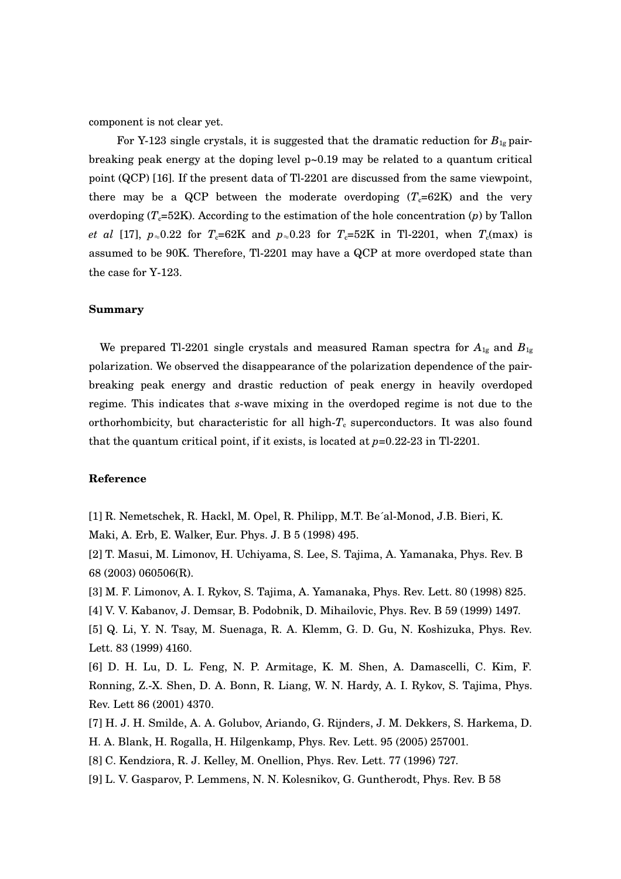component is not clear yet.

For Y-123 single crystals, it is suggested that the dramatic reduction for  $B_{1g}$  pairbreaking peak energy at the doping level  $p\text{-}0.19$  may be related to a quantum critical point (QCP) [16]. If the present data of Tl2201 are discussed from the same viewpoint, there may be a QCP between the moderate overdoping  $(T_c=62K)$  and the very overdoping  $(T_{c}=52K)$ . According to the estimation of the hole concentration (*p*) by Tallon *et al* [17], *p*≈0.22 for *T*<sub>c</sub>=62K and *p*≈0.23 for *T*<sub>c</sub>=52K in Tl-2201, when *T*<sub>c</sub>(max) is assumed to be 90K. Therefore, Tl-2201 may have a QCP at more overdoped state than the case for  $Y-123$ .

### **Summary**

We prepared Tl-2201 single crystals and measured Raman spectra for  $A_{1g}$  and  $B_{1g}$ polarization. We observed the disappearance of the polarization dependence of the pairbreaking peak energy and drastic reduction of peak energy in heavily overdoped regime. This indicates that *s*-wave mixing in the overdoped regime is not due to the orthorhombicity, but characteristic for all high- $T_c$  superconductors. It was also found that the quantum critical point, if it exists, is located at  $p=0.22-23$  in Tl-2201.

### **Reference**

[1] R. Nemetschek, R. Hackl, M. Opel, R. Philipp, M.T. Be´al-Monod, J.B. Bieri, K. Maki, A. Erb, E. Walker, Eur. Phys. J. B 5 (1998) 495.

[2] T. Masui, M. Limonov, H. Uchiyama, S. Lee, S. Tajima, A. Yamanaka, Phys. Rev. B 68 (2003) 060506(R).

[3] M. F. Limonov, A. I. Rykov, S. Tajima, A. Yamanaka, Phys. Rev. Lett. 80 (1998) 825.

[4] V. V. Kabanov, J. Demsar, B. Podobnik, D. Mihailovic, Phys. Rev. B 59 (1999) 1497.

[5] Q. Li, Y. N. Tsay, M. Suenaga, R. A. Klemm, G. D. Gu, N. Koshizuka, Phys. Rev. Lett. 83 (1999) 4160.

[6] D. H. Lu, D. L. Feng, N. P. Armitage, K. M. Shen, A. Damascelli, C. Kim, F. Ronning, Z.X. Shen, D. A. Bonn, R. Liang, W. N. Hardy, A. I. Rykov, S. Tajima, Phys. Rev. Lett 86 (2001) 4370.

[7] H. J. H. Smilde, A. A. Golubov, Ariando, G. Rijnders, J. M. Dekkers, S. Harkema, D. H. A. Blank, H. Rogalla, H. Hilgenkamp, Phys. Rev. Lett. 95 (2005) 257001.

[8] C. Kendziora, R. J. Kelley, M. Onellion, Phys. Rev. Lett. 77 (1996) 727.

[9] L. V. Gasparov, P. Lemmens, N. N. Kolesnikov, G. Guntherodt, Phys. Rev. B 58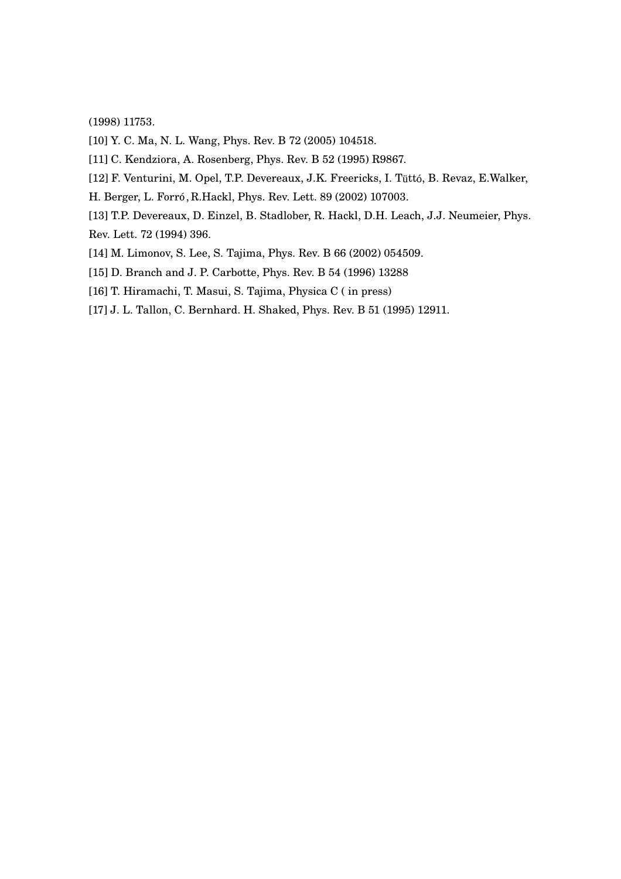(1998) 11753.

[10] Y. C. Ma, N. L. Wang, Phys. Rev. B 72 (2005) 104518.

[11] C. Kendziora, A. Rosenberg, Phys. Rev. B 52 (1995) R9867.

[12] F. Venturini, M. Opel, T.P. Devereaux, J.K. Freericks, I. Tüttó, B. Revaz, E.Walker,

- H. Berger, L. Forró, R.Hackl, Phys. Rev. Lett. 89 (2002) 107003.
- [13] T.P. Devereaux, D. Einzel, B. Stadlober, R. Hackl, D.H. Leach, J.J. Neumeier, Phys. Rev. Lett. 72 (1994) 396.
- [14] M. Limonov, S. Lee, S. Tajima, Phys. Rev. B 66 (2002) 054509.
- [15] D. Branch and J. P. Carbotte, Phys. Rev. B 54 (1996) 13288
- [16] T. Hiramachi, T. Masui, S. Tajima, Physica C ( in press)
- [17] J. L. Tallon, C. Bernhard. H. Shaked, Phys. Rev. B 51 (1995) 12911.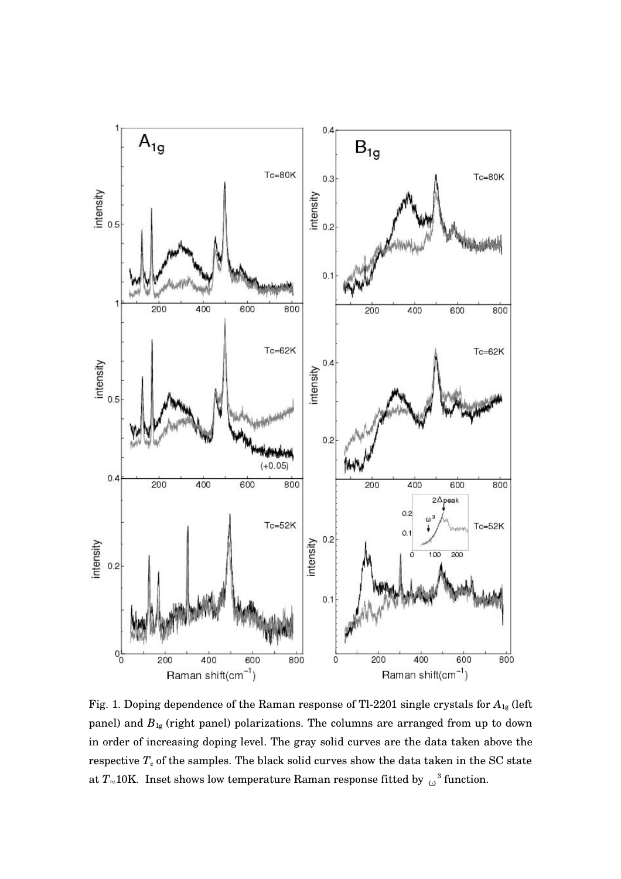

Fig. 1. Doping dependence of the Raman response of Tl2201 single crystals for *A*1g (left panel) and *B*1g (right panel) polarizations. The columns are arranged from up to down in order of increasing doping level. The gray solid curves are the data taken above the respective  $T_c$  of the samples. The black solid curves show the data taken in the SC state at  $T_{\approx}10\mathrm{K}$ . Inset shows low temperature Raman response fitted by  ${_\mathrm{\omega}}^3$  function.